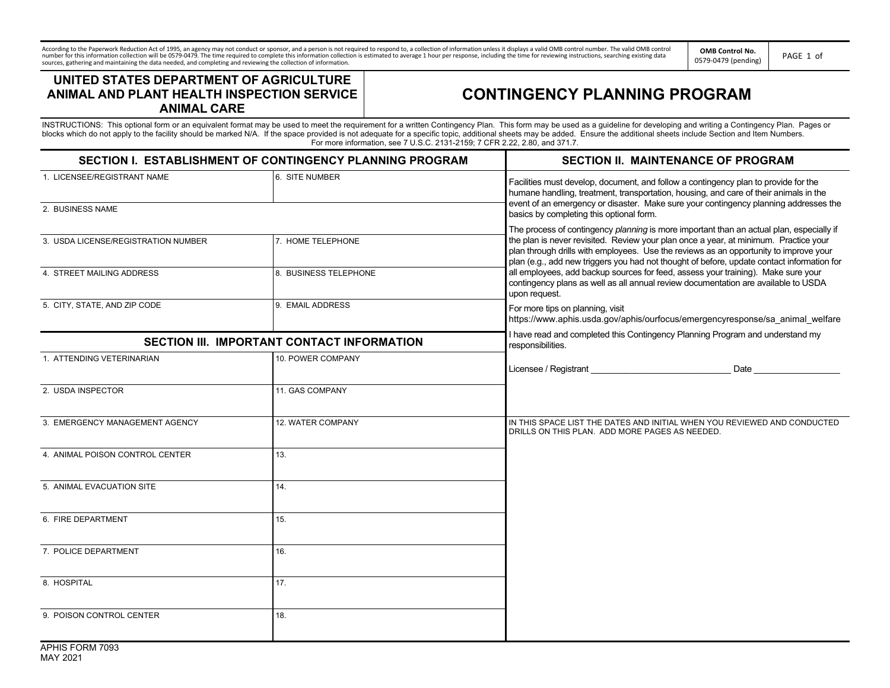According to the Paperwork Reduction Act of 1995, an agency may not conduct or sponsor, and a person is not required to respond to, a collection of information rulless it displays a valid OMB control number. The valid OMB

**OMB Control No.** ONIS CONTOINO.<br>0579-0479 (pending) PAGE 1 of

## **UNITED STATES DEPARTMENT OF AGRICULTURE ANIMAL AND PLANT HEALTH INSPECTION SERVICE ANIMAL CARE**

## **CONTINGENCY PLANNING PROGRAM**

INSTRUCTIONS: This optional form or an equivalent format may be used to meet the requirement for a written Contingency Plan. This form may be used as a guideline for developing and writing a Contingency Plan. Pages or<br>blo For more information, see 7 U.S.C. 2131-2159; 7 CFR 2.22, 2.80, and 371.7.

| SECTION I. ESTABLISHMENT OF CONTINGENCY PLANNING PROGRAM |                       | <b>SECTION II. MAINTENANCE OF PROGRAM</b>                                                                                                                                                                                                                                                                                                                                                                                                                               |
|----------------------------------------------------------|-----------------------|-------------------------------------------------------------------------------------------------------------------------------------------------------------------------------------------------------------------------------------------------------------------------------------------------------------------------------------------------------------------------------------------------------------------------------------------------------------------------|
| 1. LICENSEE/REGISTRANT NAME<br>2. BUSINESS NAME          | 6. SITE NUMBER        | Facilities must develop, document, and follow a contingency plan to provide for the<br>humane handling, treatment, transportation, housing, and care of their animals in the<br>event of an emergency or disaster. Make sure your contingency planning addresses the<br>basics by completing this optional form.                                                                                                                                                        |
|                                                          |                       | The process of contingency planning is more important than an actual plan, especially if                                                                                                                                                                                                                                                                                                                                                                                |
| 3. USDA LICENSE/REGISTRATION NUMBER                      | 7. HOME TELEPHONE     | the plan is never revisited. Review your plan once a year, at minimum. Practice your<br>plan through drills with employees. Use the reviews as an opportunity to improve your<br>plan (e.g., add new triggers you had not thought of before, update contact information for<br>all employees, add backup sources for feed, assess your training). Make sure your<br>contingency plans as well as all annual review documentation are available to USDA<br>upon request. |
| 4. STREET MAILING ADDRESS                                | 8. BUSINESS TELEPHONE |                                                                                                                                                                                                                                                                                                                                                                                                                                                                         |
| 5. CITY, STATE, AND ZIP CODE                             | 9. EMAIL ADDRESS      | For more tips on planning, visit<br>https://www.aphis.usda.gov/aphis/ourfocus/emergencyresponse/sa animal welfare                                                                                                                                                                                                                                                                                                                                                       |
| SECTION III. IMPORTANT CONTACT INFORMATION               |                       | I have read and completed this Contingency Planning Program and understand my<br>responsibilities.                                                                                                                                                                                                                                                                                                                                                                      |
| 1. ATTENDING VETERINARIAN                                | 10. POWER COMPANY     | Date and the state of the state of the state of the state of the state of the state of the state of the state of the state of the state of the state of the state of the state of the state of the state of the state of the s                                                                                                                                                                                                                                          |
| 2. USDA INSPECTOR                                        | 11. GAS COMPANY       |                                                                                                                                                                                                                                                                                                                                                                                                                                                                         |
| 3. EMERGENCY MANAGEMENT AGENCY                           | 12. WATER COMPANY     | IN THIS SPACE LIST THE DATES AND INITIAL WHEN YOU REVIEWED AND CONDUCTED<br>DRILLS ON THIS PLAN. ADD MORE PAGES AS NEEDED.                                                                                                                                                                                                                                                                                                                                              |
| 4. ANIMAL POISON CONTROL CENTER                          | 13.                   |                                                                                                                                                                                                                                                                                                                                                                                                                                                                         |
| 5. ANIMAL EVACUATION SITE                                | 14.                   |                                                                                                                                                                                                                                                                                                                                                                                                                                                                         |
| 6. FIRE DEPARTMENT                                       | 15.                   |                                                                                                                                                                                                                                                                                                                                                                                                                                                                         |
| 7. POLICE DEPARTMENT                                     | 16.                   |                                                                                                                                                                                                                                                                                                                                                                                                                                                                         |
| 8. HOSPITAL                                              | 17.                   |                                                                                                                                                                                                                                                                                                                                                                                                                                                                         |
| 9. POISON CONTROL CENTER                                 | 18.                   |                                                                                                                                                                                                                                                                                                                                                                                                                                                                         |
| P(100,000)                                               |                       |                                                                                                                                                                                                                                                                                                                                                                                                                                                                         |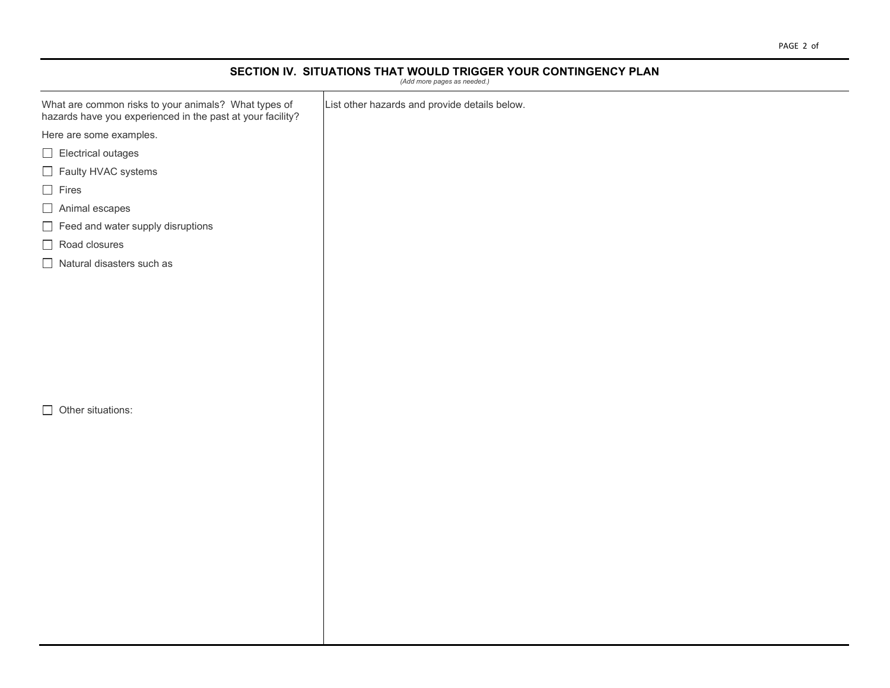## **SECTION IV. SITUATIONS THAT WOULD TRIGGER YOUR CONTINGENCY PLAN** *(Add more pages as needed.)*

| What are common risks to your animals? What types of<br>hazards have you experienced in the past at your facility? | List other hazards and provide details below. |
|--------------------------------------------------------------------------------------------------------------------|-----------------------------------------------|
| Here are some examples.                                                                                            |                                               |
| $\Box$ Electrical outages                                                                                          |                                               |
| Faulty HVAC systems                                                                                                |                                               |
| $\Box$ Fires                                                                                                       |                                               |
| $\Box$ Animal escapes                                                                                              |                                               |
| $\Box$ Feed and water supply disruptions                                                                           |                                               |
| $\Box$ Road closures                                                                                               |                                               |
| $\Box$ Natural disasters such as                                                                                   |                                               |
|                                                                                                                    |                                               |
|                                                                                                                    |                                               |
|                                                                                                                    |                                               |
|                                                                                                                    |                                               |
|                                                                                                                    |                                               |
|                                                                                                                    |                                               |
|                                                                                                                    |                                               |
| $\Box$ Other situations:                                                                                           |                                               |
|                                                                                                                    |                                               |
|                                                                                                                    |                                               |
|                                                                                                                    |                                               |
|                                                                                                                    |                                               |
|                                                                                                                    |                                               |
|                                                                                                                    |                                               |
|                                                                                                                    |                                               |
|                                                                                                                    |                                               |
|                                                                                                                    |                                               |
|                                                                                                                    |                                               |
|                                                                                                                    |                                               |
|                                                                                                                    |                                               |